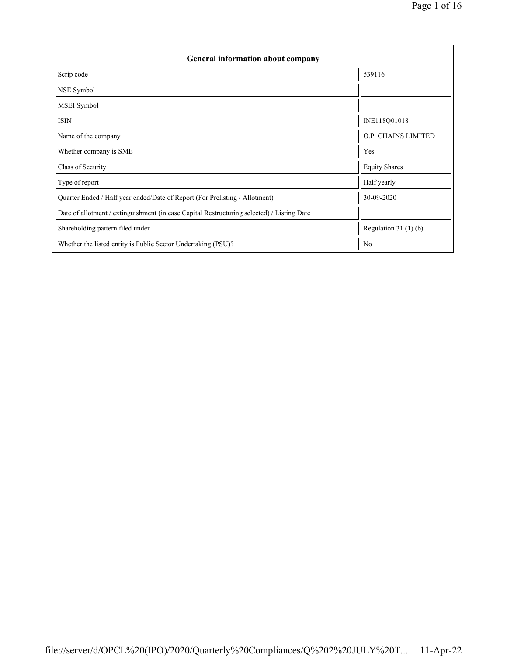| <b>General information about company</b>                                                   |                        |  |  |  |  |  |
|--------------------------------------------------------------------------------------------|------------------------|--|--|--|--|--|
| Scrip code                                                                                 | 539116                 |  |  |  |  |  |
| NSE Symbol                                                                                 |                        |  |  |  |  |  |
| MSEI Symbol                                                                                |                        |  |  |  |  |  |
| <b>ISIN</b>                                                                                | INE118Q01018           |  |  |  |  |  |
| Name of the company                                                                        | O.P. CHAINS LIMITED    |  |  |  |  |  |
| Whether company is SME                                                                     | Yes                    |  |  |  |  |  |
| Class of Security                                                                          | <b>Equity Shares</b>   |  |  |  |  |  |
| Type of report                                                                             | Half yearly            |  |  |  |  |  |
| Quarter Ended / Half year ended/Date of Report (For Prelisting / Allotment)                | 30-09-2020             |  |  |  |  |  |
| Date of allotment / extinguishment (in case Capital Restructuring selected) / Listing Date |                        |  |  |  |  |  |
| Shareholding pattern filed under                                                           | Regulation 31 $(1)(b)$ |  |  |  |  |  |
| Whether the listed entity is Public Sector Undertaking (PSU)?                              | N <sub>0</sub>         |  |  |  |  |  |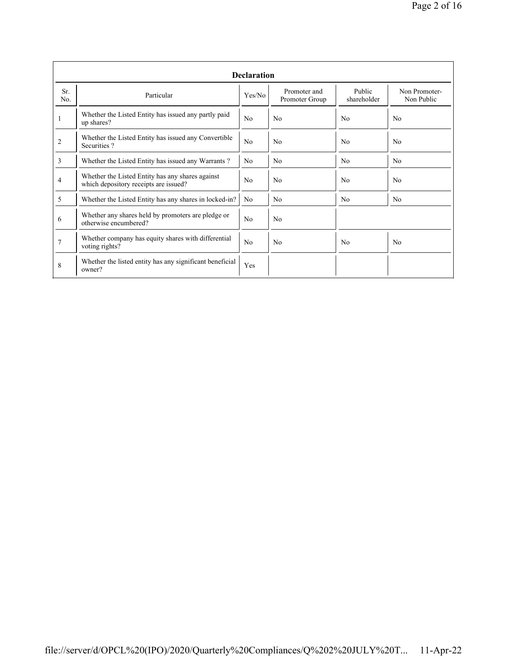|                | <b>Declaration</b>                                                                        |                |                                |                       |                             |  |  |  |  |  |
|----------------|-------------------------------------------------------------------------------------------|----------------|--------------------------------|-----------------------|-----------------------------|--|--|--|--|--|
| Sr.<br>No.     | Particular                                                                                | Yes/No         | Promoter and<br>Promoter Group | Public<br>shareholder | Non Promoter-<br>Non Public |  |  |  |  |  |
|                | Whether the Listed Entity has issued any partly paid<br>up shares?                        | No             | No                             | No                    | N <sub>0</sub>              |  |  |  |  |  |
| 2              | Whether the Listed Entity has issued any Convertible<br>Securities?                       | No             | No                             | No                    | No                          |  |  |  |  |  |
| $\overline{3}$ | Whether the Listed Entity has issued any Warrants?                                        | N <sub>0</sub> | N <sub>0</sub>                 | N <sub>0</sub>        | N <sub>0</sub>              |  |  |  |  |  |
| 4              | Whether the Listed Entity has any shares against<br>which depository receipts are issued? | No             | N <sub>0</sub>                 | N <sub>0</sub>        | N <sub>0</sub>              |  |  |  |  |  |
| 5              | Whether the Listed Entity has any shares in locked-in?                                    | N <sub>0</sub> | N <sub>0</sub>                 | No                    | N <sub>0</sub>              |  |  |  |  |  |
| 6              | Whether any shares held by promoters are pledge or<br>otherwise encumbered?               | No             | No                             |                       |                             |  |  |  |  |  |
| 7              | Whether company has equity shares with differential<br>voting rights?                     | No             | No                             | N <sub>0</sub>        | N <sub>0</sub>              |  |  |  |  |  |
| 8              | Whether the listed entity has any significant beneficial<br>owner?                        | Yes            |                                |                       |                             |  |  |  |  |  |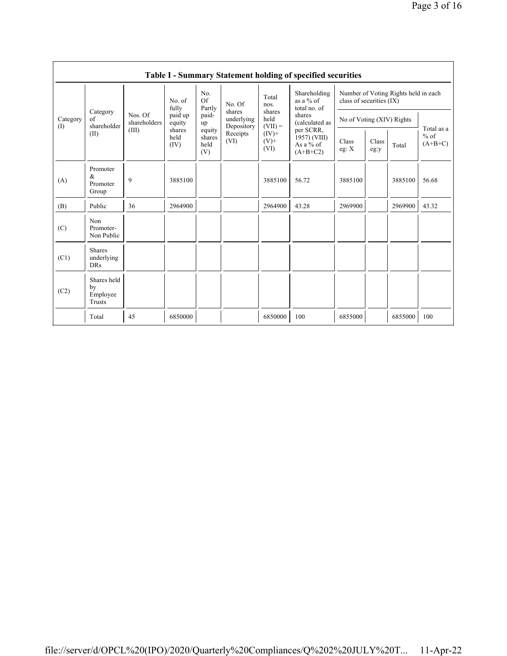|                 |                                           |                                  |                        |                                 |                                    |                             | Table I - Summary Statement holding of specified securities |                                                                  |               |         |                                   |  |
|-----------------|-------------------------------------------|----------------------------------|------------------------|---------------------------------|------------------------------------|-----------------------------|-------------------------------------------------------------|------------------------------------------------------------------|---------------|---------|-----------------------------------|--|
| Category<br>(I) |                                           | Nos. Of<br>shareholders<br>(III) | No. of<br>fully        | No.<br>Of<br>Partly             | No. Of                             | Total<br>nos.               | Shareholding<br>as a $%$ of<br>total no. of                 | Number of Voting Rights held in each<br>class of securities (IX) |               |         |                                   |  |
|                 | Category<br>of<br>shareholder             |                                  | paid up<br>equity      | paid-<br>up                     | shares<br>underlying<br>Depository | shares<br>held<br>$(VII) =$ | shares<br>(calculated as                                    | No of Voting (XIV) Rights                                        |               |         |                                   |  |
|                 | (II)                                      |                                  | shares<br>held<br>(IV) | equity<br>shares<br>held<br>(V) | Receipts<br>(VI)                   | $(IV)$ +<br>$(V)$ +<br>(VI) | per SCRR,<br>1957) (VIII)<br>As a $%$ of<br>$(A+B+C2)$      | Class<br>eg: $X$                                                 | Class<br>eg:y | Total   | Total as a<br>$%$ of<br>$(A+B+C)$ |  |
| (A)             | Promoter<br>&<br>Promoter<br>Group        | 9                                | 3885100                |                                 |                                    | 3885100                     | 56.72                                                       | 3885100                                                          |               | 3885100 | 56.68                             |  |
| (B)             | Public                                    | 36                               | 2964900                |                                 |                                    | 2964900                     | 43.28                                                       | 2969900                                                          |               | 2969900 | 43.32                             |  |
| (C)             | Non<br>Promoter-<br>Non Public            |                                  |                        |                                 |                                    |                             |                                                             |                                                                  |               |         |                                   |  |
| (C1)            | <b>Shares</b><br>underlying<br><b>DRs</b> |                                  |                        |                                 |                                    |                             |                                                             |                                                                  |               |         |                                   |  |
| (C2)            | Shares held<br>by<br>Employee<br>Trusts   |                                  |                        |                                 |                                    |                             |                                                             |                                                                  |               |         |                                   |  |
|                 | Total                                     | 45                               | 6850000                |                                 |                                    | 6850000                     | 100                                                         | 6855000                                                          |               | 6855000 | 100                               |  |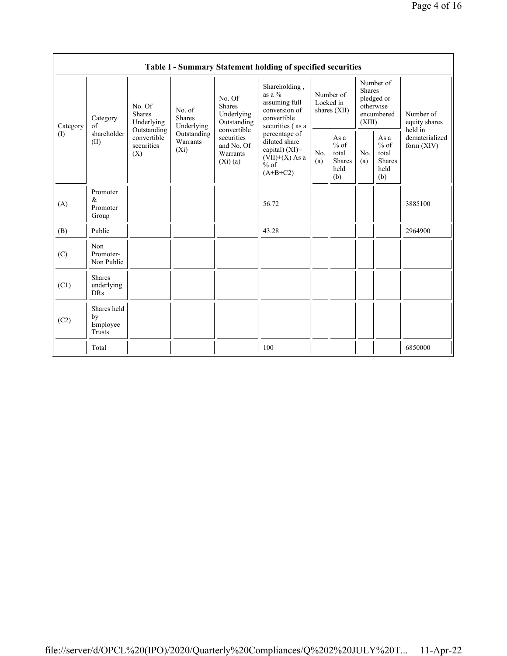|                                        |                                           |                                                                                          |                                       |                                                                                                                           | Table I - Summary Statement holding of specified securities                                     |                                        |                                                         |                                                                               |                                                  |                                           |
|----------------------------------------|-------------------------------------------|------------------------------------------------------------------------------------------|---------------------------------------|---------------------------------------------------------------------------------------------------------------------------|-------------------------------------------------------------------------------------------------|----------------------------------------|---------------------------------------------------------|-------------------------------------------------------------------------------|--------------------------------------------------|-------------------------------------------|
| Category<br>$\left( \mathrm{I}\right)$ | Category<br>of<br>shareholder<br>(II)     | No. Of<br><b>Shares</b><br>Underlying<br>Outstanding<br>convertible<br>securities<br>(X) | No. of<br><b>Shares</b><br>Underlying | No. Of<br><b>Shares</b><br>Underlying<br>Outstanding<br>convertible<br>securities<br>and No. Of<br>Warrants<br>$(X_i)(a)$ | Shareholding,<br>as a $\%$<br>assuming full<br>conversion of<br>convertible<br>securities (as a | Number of<br>Locked in<br>shares (XII) |                                                         | Number of<br><b>Shares</b><br>pledged or<br>otherwise<br>encumbered<br>(XIII) |                                                  | Number of<br>equity shares                |
|                                        |                                           |                                                                                          | Outstanding<br>Warrants<br>$(X_i)$    |                                                                                                                           | percentage of<br>diluted share<br>capital) $(XI)$ =<br>$(VII)+(X)$ As a<br>$%$ of<br>$(A+B+C2)$ | No.<br>(a)                             | As a<br>$%$ of<br>total<br><b>Shares</b><br>held<br>(b) | No.<br>(a)                                                                    | As a<br>$%$ of<br>total<br>Shares<br>held<br>(b) | held in<br>dematerialized<br>form $(XIV)$ |
| (A)                                    | Promoter<br>&<br>Promoter<br>Group        |                                                                                          |                                       |                                                                                                                           | 56.72                                                                                           |                                        |                                                         |                                                                               |                                                  | 3885100                                   |
| (B)                                    | Public                                    |                                                                                          |                                       |                                                                                                                           | 43.28                                                                                           |                                        |                                                         |                                                                               |                                                  | 2964900                                   |
| (C)                                    | Non<br>Promoter-<br>Non Public            |                                                                                          |                                       |                                                                                                                           |                                                                                                 |                                        |                                                         |                                                                               |                                                  |                                           |
| (C1)                                   | <b>Shares</b><br>underlying<br><b>DRs</b> |                                                                                          |                                       |                                                                                                                           |                                                                                                 |                                        |                                                         |                                                                               |                                                  |                                           |
| (C2)                                   | Shares held<br>by<br>Employee<br>Trusts   |                                                                                          |                                       |                                                                                                                           |                                                                                                 |                                        |                                                         |                                                                               |                                                  |                                           |
|                                        | Total                                     |                                                                                          |                                       |                                                                                                                           | 100                                                                                             |                                        |                                                         |                                                                               |                                                  | 6850000                                   |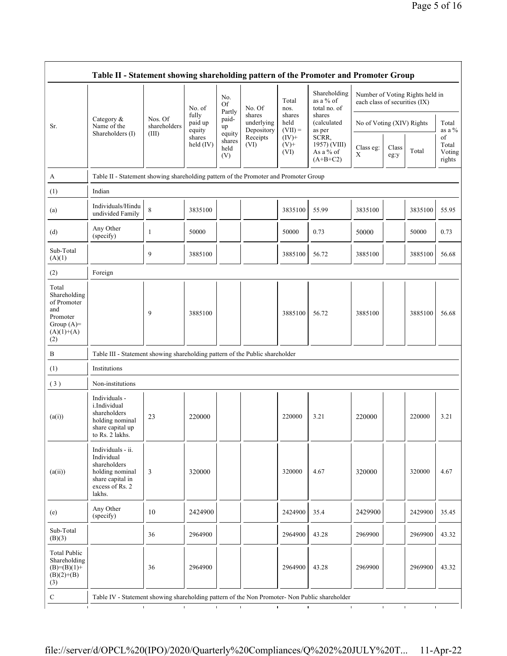|                                                                                                |                                                                                                                     |                         | No. of                     | No.<br>Of<br>Partly             | No. Of                             | Total<br>nos.               | Shareholding<br>as a % of<br>total no. of        | Number of Voting Rights held in<br>each class of securities (IX) |               |         |                                 |
|------------------------------------------------------------------------------------------------|---------------------------------------------------------------------------------------------------------------------|-------------------------|----------------------------|---------------------------------|------------------------------------|-----------------------------|--------------------------------------------------|------------------------------------------------------------------|---------------|---------|---------------------------------|
| Sr.                                                                                            | Category $\&$<br>Name of the                                                                                        | Nos. Of<br>shareholders | fully<br>paid up<br>equity | paid-<br>up                     | shares<br>underlying<br>Depository | shares<br>held<br>$(VII) =$ | shares<br>(calculated<br>as per                  | No of Voting (XIV) Rights                                        |               |         | Total<br>as a $\%$              |
|                                                                                                | Shareholders (I)                                                                                                    | (III)                   | shares<br>held (IV)        | equity<br>shares<br>held<br>(V) | Receipts<br>(VI)                   | $(IV)+$<br>$(V)$ +<br>(VI)  | SCRR,<br>1957) (VIII)<br>As a % of<br>$(A+B+C2)$ | Class eg:<br>X                                                   | Class<br>eg:y | Total   | of<br>Total<br>Voting<br>rights |
| А                                                                                              | Table II - Statement showing shareholding pattern of the Promoter and Promoter Group                                |                         |                            |                                 |                                    |                             |                                                  |                                                                  |               |         |                                 |
| (1)                                                                                            | Indian                                                                                                              |                         |                            |                                 |                                    |                             |                                                  |                                                                  |               |         |                                 |
| (a)                                                                                            | Individuals/Hindu<br>undivided Family                                                                               | $\,8\,$                 | 3835100                    |                                 |                                    | 3835100                     | 55.99                                            | 3835100                                                          |               | 3835100 | 55.95                           |
| (d)                                                                                            | Any Other<br>(specify)                                                                                              | $\mathbf{1}$            | 50000                      |                                 |                                    | 50000                       | 0.73                                             | 50000                                                            |               | 50000   | 0.73                            |
| Sub-Total<br>(A)(1)                                                                            |                                                                                                                     | 9                       | 3885100                    |                                 |                                    | 3885100                     | 56.72                                            | 3885100                                                          |               | 3885100 | 56.68                           |
| (2)                                                                                            | Foreign                                                                                                             |                         |                            |                                 |                                    |                             |                                                  |                                                                  |               |         |                                 |
| Total<br>Shareholding<br>of Promoter<br>and<br>Promoter<br>Group $(A)=$<br>$(A)(1)+(A)$<br>(2) |                                                                                                                     | 9                       | 3885100                    |                                 |                                    | 3885100                     | 56.72                                            | 3885100                                                          |               | 3885100 | 56.68                           |
| B                                                                                              | Table III - Statement showing shareholding pattern of the Public shareholder                                        |                         |                            |                                 |                                    |                             |                                                  |                                                                  |               |         |                                 |
| (1)                                                                                            | Institutions                                                                                                        |                         |                            |                                 |                                    |                             |                                                  |                                                                  |               |         |                                 |
| (3)                                                                                            | Non-institutions                                                                                                    |                         |                            |                                 |                                    |                             |                                                  |                                                                  |               |         |                                 |
| (a(i))                                                                                         | Individuals -<br>i.Individual<br>shareholders<br>holding nominal<br>share capital up<br>to Rs. 2 lakhs.             | 23                      | 220000                     |                                 |                                    | 220000                      | 3.21                                             | 220000                                                           |               | 220000  | 3.21                            |
| (a(ii))                                                                                        | Individuals - ii.<br>Individual<br>shareholders<br>holding nominal<br>share capital in<br>excess of Rs. 2<br>lakhs. | 3                       | 320000                     |                                 |                                    | 320000                      | 4.67                                             | 320000                                                           |               | 320000  | 4.67                            |
| (e)                                                                                            | Any Other<br>(specify)                                                                                              | 10                      | 2424900                    |                                 |                                    | 2424900                     | 35.4                                             | 2429900                                                          |               | 2429900 | 35.45                           |
| Sub-Total<br>(B)(3)                                                                            |                                                                                                                     | 36                      | 2964900                    |                                 |                                    | 2964900                     | 43.28                                            | 2969900                                                          |               | 2969900 | 43.32                           |
| <b>Total Public</b><br>Shareholding<br>$(B)=(B)(1)+$<br>$(B)(2)+(B)$                           |                                                                                                                     | 36                      | 2964900                    |                                 |                                    | 2964900                     | 43.28                                            | 2969900                                                          |               | 2969900 | 43.32                           |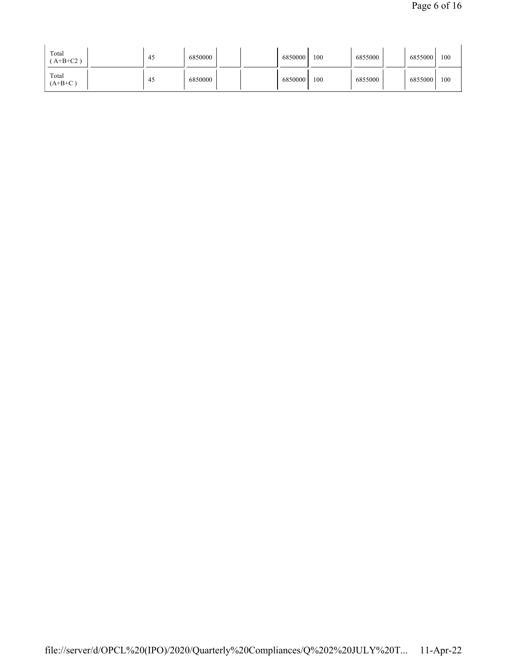| Total<br>$A+B+C2$ ) | -45 | 6850000 |  | 6850000 | 100 | 6855000 | 6855000 | 100 |
|---------------------|-----|---------|--|---------|-----|---------|---------|-----|
| Total<br>$(A+B+C)$  | -45 | 6850000 |  | 6850000 | 100 | 6855000 | 6855000 | 100 |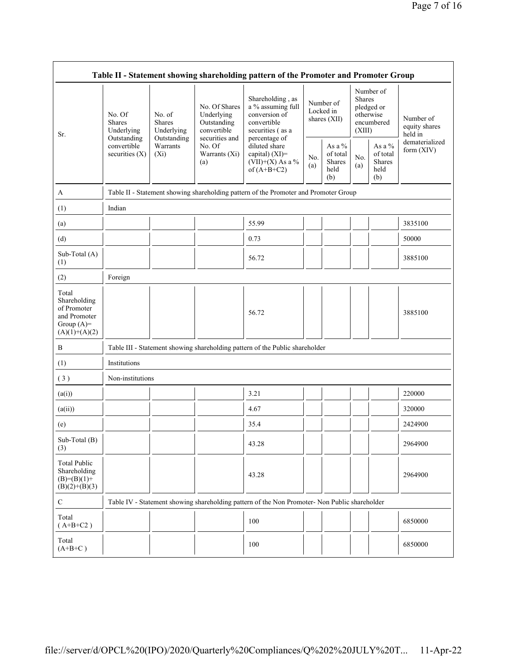| Table II - Statement showing shareholding pattern of the Promoter and Promoter Group    |                                                                                         |                                                                                      |                                                           |                                                                                                            |                                        |                                                    |                         |                                                    |                                       |  |
|-----------------------------------------------------------------------------------------|-----------------------------------------------------------------------------------------|--------------------------------------------------------------------------------------|-----------------------------------------------------------|------------------------------------------------------------------------------------------------------------|----------------------------------------|----------------------------------------------------|-------------------------|----------------------------------------------------|---------------------------------------|--|
| Sr.                                                                                     | No. Of<br><b>Shares</b><br>Underlying<br>Outstanding<br>convertible<br>securities $(X)$ | No. of<br><b>Shares</b><br>Underlying<br>Outstanding                                 | No. Of Shares<br>Underlying<br>Outstanding<br>convertible | Shareholding, as<br>a % assuming full<br>conversion of<br>convertible<br>securities (as a<br>percentage of | Number of<br>Locked in<br>shares (XII) |                                                    | <b>Shares</b><br>(XIII) | Number of<br>pledged or<br>otherwise<br>encumbered | Number of<br>equity shares<br>held in |  |
|                                                                                         |                                                                                         | Warrants<br>No. Of<br>$(X_i)$<br>(a)                                                 | securities and<br>Warrants (Xi)                           | diluted share<br>capital) (XI)=<br>(VII)+(X) As a %<br>of $(A+B+C2)$                                       | No.<br>(a)                             | As a %<br>of total<br><b>Shares</b><br>held<br>(b) | No.<br>(a)              | As a %<br>of total<br>Shares<br>held<br>(b)        | dematerialized<br>form (XIV)          |  |
| A                                                                                       |                                                                                         | Table II - Statement showing shareholding pattern of the Promoter and Promoter Group |                                                           |                                                                                                            |                                        |                                                    |                         |                                                    |                                       |  |
| (1)                                                                                     | Indian                                                                                  |                                                                                      |                                                           |                                                                                                            |                                        |                                                    |                         |                                                    |                                       |  |
| (a)                                                                                     |                                                                                         |                                                                                      |                                                           | 55.99                                                                                                      |                                        |                                                    |                         |                                                    | 3835100                               |  |
| (d)                                                                                     |                                                                                         |                                                                                      |                                                           | 0.73                                                                                                       |                                        |                                                    |                         |                                                    | 50000                                 |  |
| Sub-Total (A)<br>(1)                                                                    |                                                                                         |                                                                                      |                                                           | 56.72                                                                                                      |                                        |                                                    |                         |                                                    | 3885100                               |  |
| (2)                                                                                     | Foreign                                                                                 |                                                                                      |                                                           |                                                                                                            |                                        |                                                    |                         |                                                    |                                       |  |
| Total<br>Shareholding<br>of Promoter<br>and Promoter<br>Group $(A)=$<br>$(A)(1)+(A)(2)$ |                                                                                         |                                                                                      |                                                           | 56.72                                                                                                      |                                        |                                                    |                         |                                                    | 3885100                               |  |
| B                                                                                       |                                                                                         |                                                                                      |                                                           | Table III - Statement showing shareholding pattern of the Public shareholder                               |                                        |                                                    |                         |                                                    |                                       |  |
| (1)                                                                                     | Institutions                                                                            |                                                                                      |                                                           |                                                                                                            |                                        |                                                    |                         |                                                    |                                       |  |
| (3)                                                                                     | Non-institutions                                                                        |                                                                                      |                                                           |                                                                                                            |                                        |                                                    |                         |                                                    |                                       |  |
| (a(i))                                                                                  |                                                                                         |                                                                                      |                                                           | 3.21                                                                                                       |                                        |                                                    |                         |                                                    | 220000                                |  |
| (a(ii))                                                                                 |                                                                                         |                                                                                      |                                                           | 4.67                                                                                                       |                                        |                                                    |                         |                                                    | 320000                                |  |
| (e)                                                                                     |                                                                                         |                                                                                      |                                                           | 35.4                                                                                                       |                                        |                                                    |                         |                                                    | 2424900                               |  |
| Sub-Total (B)<br>(3)                                                                    |                                                                                         |                                                                                      |                                                           | 43.28                                                                                                      |                                        |                                                    |                         |                                                    | 2964900                               |  |
| <b>Total Public</b><br>Shareholding<br>$(B)= (B)(1) +$<br>$(B)(2)+(B)(3)$               |                                                                                         |                                                                                      |                                                           | 43.28                                                                                                      |                                        |                                                    |                         |                                                    | 2964900                               |  |
| $\mathbf C$                                                                             |                                                                                         |                                                                                      |                                                           | Table IV - Statement showing shareholding pattern of the Non Promoter- Non Public shareholder              |                                        |                                                    |                         |                                                    |                                       |  |
| Total<br>$(A+B+C2)$                                                                     |                                                                                         |                                                                                      |                                                           | 100                                                                                                        |                                        |                                                    |                         |                                                    | 6850000                               |  |
| Total<br>$(A+B+C)$                                                                      |                                                                                         |                                                                                      |                                                           | 100                                                                                                        |                                        |                                                    |                         |                                                    | 6850000                               |  |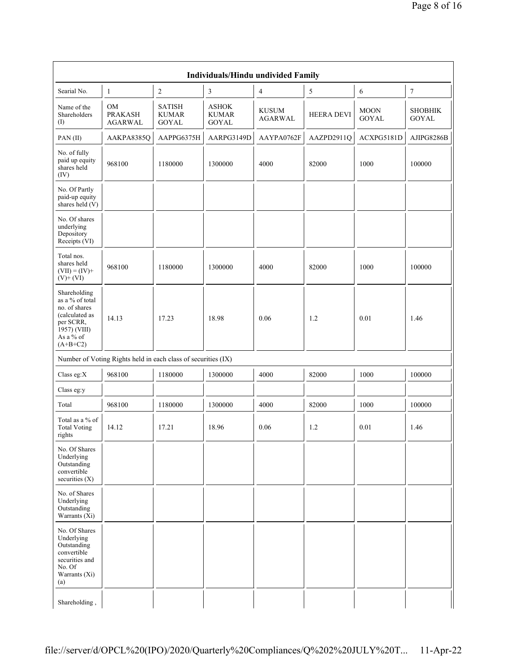| Individuals/Hindu undivided Family                                                                                         |                                                               |                                               |                                       |                                |                   |                             |                                |  |  |
|----------------------------------------------------------------------------------------------------------------------------|---------------------------------------------------------------|-----------------------------------------------|---------------------------------------|--------------------------------|-------------------|-----------------------------|--------------------------------|--|--|
| Searial No.                                                                                                                | $\mathbf{1}$                                                  | $\sqrt{2}$                                    | $\mathfrak z$                         | $\overline{4}$                 | 5                 | 6                           | $\boldsymbol{7}$               |  |  |
| Name of the<br>Shareholders<br>(I)                                                                                         | OM<br><b>PRAKASH</b><br><b>AGARWAL</b>                        | <b>SATISH</b><br><b>KUMAR</b><br><b>GOYAL</b> | <b>ASHOK</b><br><b>KUMAR</b><br>GOYAL | <b>KUSUM</b><br><b>AGARWAL</b> | <b>HEERA DEVI</b> | <b>MOON</b><br><b>GOYAL</b> | <b>SHOBHIK</b><br><b>GOYAL</b> |  |  |
| PAN(II)                                                                                                                    | AAKPA8385Q                                                    | AAPPG6375H                                    | AARPG3149D                            | AAYPA0762F                     | AAZPD2911Q        | ACXPG5181D                  | AJIPG8286B                     |  |  |
| No. of fully<br>paid up equity<br>shares held<br>(IV)                                                                      | 968100                                                        | 1180000                                       | 1300000                               | 4000                           | 82000             | 1000                        | 100000                         |  |  |
| No. Of Partly<br>paid-up equity<br>shares held $(V)$                                                                       |                                                               |                                               |                                       |                                |                   |                             |                                |  |  |
| No. Of shares<br>underlying<br>Depository<br>Receipts (VI)                                                                 |                                                               |                                               |                                       |                                |                   |                             |                                |  |  |
| Total nos.<br>shares held<br>$(VII) = (IV) +$<br>$(V)$ + $(VI)$                                                            | 968100                                                        | 1180000                                       | 1300000                               | 4000                           | 82000             | 1000                        | 100000                         |  |  |
| Shareholding<br>as a % of total<br>no. of shares<br>(calculated as<br>per SCRR,<br>1957) (VIII)<br>As a % of<br>$(A+B+C2)$ | 14.13                                                         | 17.23                                         | 18.98                                 | 0.06                           | 1.2               | 0.01                        | 1.46                           |  |  |
|                                                                                                                            | Number of Voting Rights held in each class of securities (IX) |                                               |                                       |                                |                   |                             |                                |  |  |
| Class eg:X                                                                                                                 | 968100                                                        | 1180000                                       | 1300000                               | 4000                           | 82000             | 1000                        | 100000                         |  |  |
| Class eg:y                                                                                                                 |                                                               |                                               |                                       |                                |                   |                             |                                |  |  |
| Total                                                                                                                      | 968100                                                        | 1180000                                       | 1300000                               | 4000                           | 82000             | 1000                        | 100000                         |  |  |
| Total as a $\%$ of<br><b>Total Voting</b><br>rights                                                                        | 14.12                                                         | 17.21                                         | 18.96                                 | 0.06                           | 1.2               | $0.01\,$                    | 1.46                           |  |  |
| No. Of Shares<br>Underlying<br>Outstanding<br>convertible<br>securities (X)                                                |                                                               |                                               |                                       |                                |                   |                             |                                |  |  |
| No. of Shares<br>Underlying<br>Outstanding<br>Warrants $(X_i)$                                                             |                                                               |                                               |                                       |                                |                   |                             |                                |  |  |
| No. Of Shares<br>Underlying<br>Outstanding<br>convertible<br>securities and<br>No. Of<br>Warrants (Xi)<br>(a)              |                                                               |                                               |                                       |                                |                   |                             |                                |  |  |
| Shareholding,                                                                                                              |                                                               |                                               |                                       |                                |                   |                             |                                |  |  |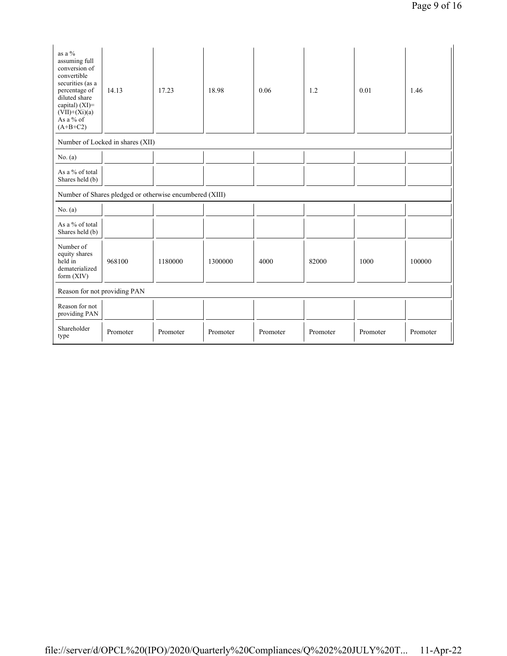| as a %<br>assuming full<br>conversion of<br>convertible<br>securities (as a<br>percentage of<br>diluted share<br>capital) $(XI)$ =<br>$(VII)+(Xi)(a)$<br>As a % of<br>$(A+B+C2)$ | 14.13                                                   | 17.23    | 18.98    | 0.06     | 1.2      | 0.01     | 1.46     |  |
|----------------------------------------------------------------------------------------------------------------------------------------------------------------------------------|---------------------------------------------------------|----------|----------|----------|----------|----------|----------|--|
|                                                                                                                                                                                  | Number of Locked in shares (XII)                        |          |          |          |          |          |          |  |
| No. $(a)$                                                                                                                                                                        |                                                         |          |          |          |          |          |          |  |
| As a % of total<br>Shares held (b)                                                                                                                                               |                                                         |          |          |          |          |          |          |  |
|                                                                                                                                                                                  | Number of Shares pledged or otherwise encumbered (XIII) |          |          |          |          |          |          |  |
| No. $(a)$                                                                                                                                                                        |                                                         |          |          |          |          |          |          |  |
| As a % of total<br>Shares held (b)                                                                                                                                               |                                                         |          |          |          |          |          |          |  |
| Number of<br>equity shares<br>held in<br>dematerialized<br>form $(XIV)$                                                                                                          | 968100                                                  | 1180000  | 1300000  | 4000     | 82000    | 1000     | 100000   |  |
| Reason for not providing PAN                                                                                                                                                     |                                                         |          |          |          |          |          |          |  |
| Reason for not<br>providing PAN                                                                                                                                                  |                                                         |          |          |          |          |          |          |  |
| Shareholder<br>type                                                                                                                                                              | Promoter                                                | Promoter | Promoter | Promoter | Promoter | Promoter | Promoter |  |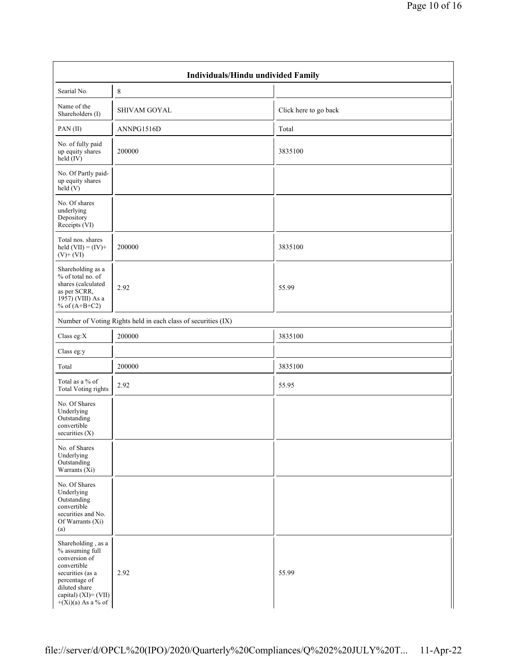|                                                                                                                                                                             | Individuals/Hindu undivided Family                            |                       |  |  |  |  |  |  |  |  |
|-----------------------------------------------------------------------------------------------------------------------------------------------------------------------------|---------------------------------------------------------------|-----------------------|--|--|--|--|--|--|--|--|
| Searial No.                                                                                                                                                                 | 8                                                             |                       |  |  |  |  |  |  |  |  |
| Name of the<br>Shareholders (I)                                                                                                                                             | <b>SHIVAM GOYAL</b>                                           | Click here to go back |  |  |  |  |  |  |  |  |
| PAN(II)                                                                                                                                                                     | ANNPG1516D                                                    | Total                 |  |  |  |  |  |  |  |  |
| No. of fully paid<br>up equity shares<br>$held$ (IV)                                                                                                                        | 200000                                                        | 3835100               |  |  |  |  |  |  |  |  |
| No. Of Partly paid-<br>up equity shares<br>held(V)                                                                                                                          |                                                               |                       |  |  |  |  |  |  |  |  |
| No. Of shares<br>underlying<br>Depository<br>Receipts (VI)                                                                                                                  |                                                               |                       |  |  |  |  |  |  |  |  |
| Total nos. shares<br>held $(VII) = (IV) +$<br>$(V)$ + $(VI)$                                                                                                                | 200000                                                        | 3835100               |  |  |  |  |  |  |  |  |
| Shareholding as a<br>% of total no. of<br>shares (calculated<br>as per SCRR,<br>1957) (VIII) As a<br>% of $(A+B+C2)$                                                        | 2.92                                                          | 55.99                 |  |  |  |  |  |  |  |  |
|                                                                                                                                                                             | Number of Voting Rights held in each class of securities (IX) |                       |  |  |  |  |  |  |  |  |
| Class eg: $X$                                                                                                                                                               | 200000                                                        | 3835100               |  |  |  |  |  |  |  |  |
| Class eg:y                                                                                                                                                                  |                                                               |                       |  |  |  |  |  |  |  |  |
| Total                                                                                                                                                                       | 200000                                                        | 3835100               |  |  |  |  |  |  |  |  |
| Total as a % of<br><b>Total Voting rights</b>                                                                                                                               | 2.92                                                          | 55.95                 |  |  |  |  |  |  |  |  |
| No. Of Shares<br>Underlying<br>Outstanding<br>convertible<br>securities $(X)$                                                                                               |                                                               |                       |  |  |  |  |  |  |  |  |
| No. of Shares<br>Underlying<br>Outstanding<br>Warrants $(X_i)$                                                                                                              |                                                               |                       |  |  |  |  |  |  |  |  |
| No. Of Shares<br>Underlying<br>Outstanding<br>convertible<br>securities and No.<br>Of Warrants (Xi)<br>(a)                                                                  |                                                               |                       |  |  |  |  |  |  |  |  |
| Shareholding, as a<br>% assuming full<br>conversion of<br>convertible<br>securities (as a<br>percentage of<br>diluted share<br>capital) (XI)= (VII)<br>$+(Xi)(a)$ As a % of | 2.92                                                          | 55.99                 |  |  |  |  |  |  |  |  |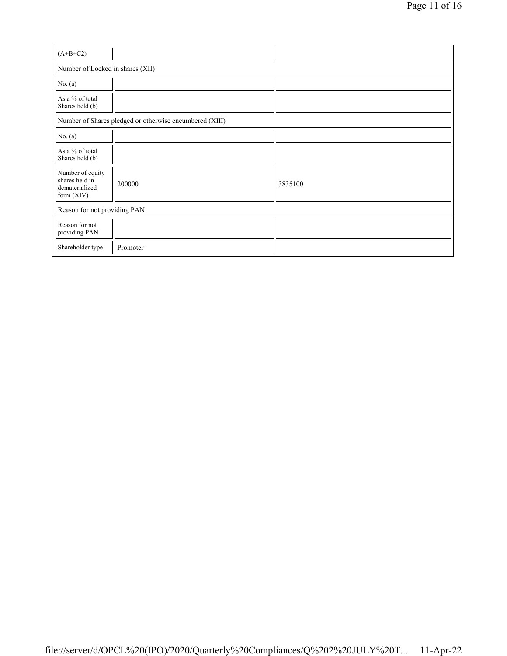| $(A+B+C2)$                                                         |                                                         |         |  |  |  |  |  |
|--------------------------------------------------------------------|---------------------------------------------------------|---------|--|--|--|--|--|
| Number of Locked in shares (XII)                                   |                                                         |         |  |  |  |  |  |
| No. $(a)$                                                          |                                                         |         |  |  |  |  |  |
| As a % of total<br>Shares held (b)                                 |                                                         |         |  |  |  |  |  |
|                                                                    | Number of Shares pledged or otherwise encumbered (XIII) |         |  |  |  |  |  |
| No. $(a)$                                                          |                                                         |         |  |  |  |  |  |
| As a % of total<br>Shares held (b)                                 |                                                         |         |  |  |  |  |  |
| Number of equity<br>shares held in<br>dematerialized<br>form (XIV) | 200000                                                  | 3835100 |  |  |  |  |  |
|                                                                    | Reason for not providing PAN                            |         |  |  |  |  |  |
| Reason for not<br>providing PAN                                    |                                                         |         |  |  |  |  |  |
| Shareholder type                                                   | Promoter                                                |         |  |  |  |  |  |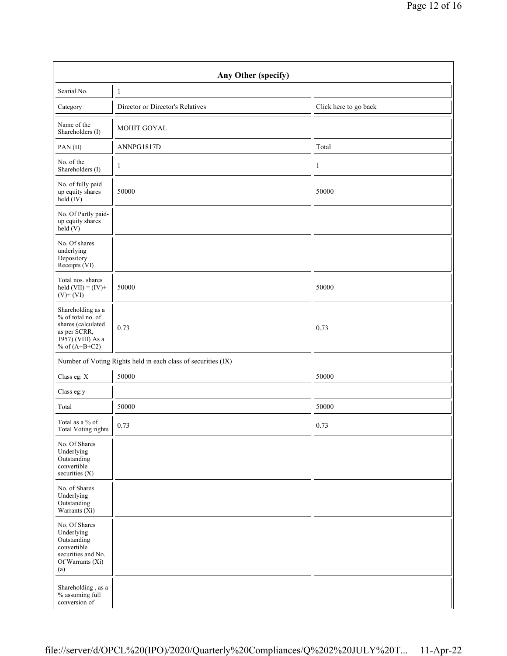| Any Other (specify)                                                                                                  |                                                               |                       |  |  |  |  |  |  |  |
|----------------------------------------------------------------------------------------------------------------------|---------------------------------------------------------------|-----------------------|--|--|--|--|--|--|--|
| Searial No.                                                                                                          | $\mathbf{1}$                                                  |                       |  |  |  |  |  |  |  |
| Category                                                                                                             | Director or Director's Relatives                              | Click here to go back |  |  |  |  |  |  |  |
| Name of the<br>Shareholders (I)                                                                                      | MOHIT GOYAL                                                   |                       |  |  |  |  |  |  |  |
| PAN(II)                                                                                                              | ANNPG1817D                                                    | Total                 |  |  |  |  |  |  |  |
| No. of the<br>Shareholders (I)                                                                                       | $\mathbf{1}$                                                  | 1                     |  |  |  |  |  |  |  |
| No. of fully paid<br>up equity shares<br>held (IV)                                                                   | 50000                                                         | 50000                 |  |  |  |  |  |  |  |
| No. Of Partly paid-<br>up equity shares<br>held (V)                                                                  |                                                               |                       |  |  |  |  |  |  |  |
| No. Of shares<br>underlying<br>Depository<br>Receipts (VI)                                                           |                                                               |                       |  |  |  |  |  |  |  |
| Total nos. shares<br>held $(VII) = (IV) +$<br>$(V)$ + $(VI)$                                                         | 50000                                                         | 50000                 |  |  |  |  |  |  |  |
| Shareholding as a<br>% of total no. of<br>shares (calculated<br>as per SCRR,<br>1957) (VIII) As a<br>% of $(A+B+C2)$ | 0.73                                                          | 0.73                  |  |  |  |  |  |  |  |
|                                                                                                                      | Number of Voting Rights held in each class of securities (IX) |                       |  |  |  |  |  |  |  |
| Class eg: X                                                                                                          | 50000                                                         | 50000                 |  |  |  |  |  |  |  |
| Class eg:y                                                                                                           |                                                               |                       |  |  |  |  |  |  |  |
| Total                                                                                                                | 50000                                                         | 50000                 |  |  |  |  |  |  |  |
| Total as a % of<br>Total Voting rights                                                                               | 0.73                                                          | 0.73                  |  |  |  |  |  |  |  |
| No. Of Shares<br>Underlying<br>Outstanding<br>convertible<br>securities (X)                                          |                                                               |                       |  |  |  |  |  |  |  |
| No. of Shares<br>Underlying<br>Outstanding<br>Warrants $(X_i)$                                                       |                                                               |                       |  |  |  |  |  |  |  |
| No. Of Shares<br>Underlying<br>Outstanding<br>convertible<br>securities and No.<br>Of Warrants (Xi)<br>(a)           |                                                               |                       |  |  |  |  |  |  |  |
| Shareholding, as a<br>% assuming full<br>conversion of                                                               |                                                               |                       |  |  |  |  |  |  |  |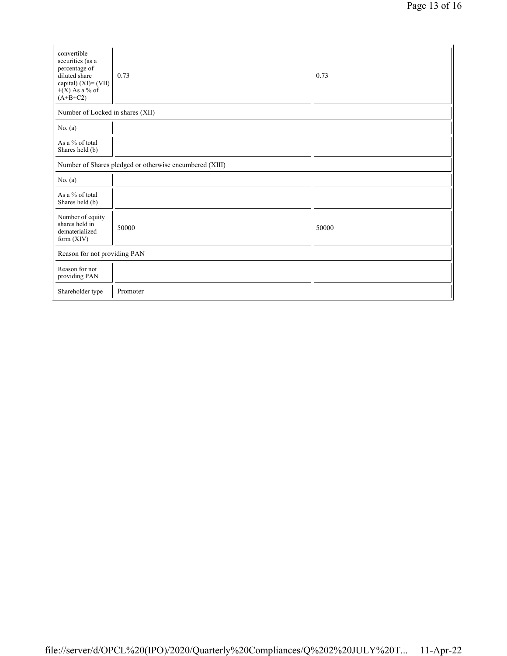| convertible<br>securities (as a<br>percentage of<br>diluted share<br>capital) $(XI) = (VII)$<br>$+(X)$ As a % of<br>$(A+B+C2)$ | 0.73     | 0.73  |  |  |  |  |
|--------------------------------------------------------------------------------------------------------------------------------|----------|-------|--|--|--|--|
| Number of Locked in shares (XII)                                                                                               |          |       |  |  |  |  |
| No. $(a)$                                                                                                                      |          |       |  |  |  |  |
| As a % of total<br>Shares held (b)                                                                                             |          |       |  |  |  |  |
| Number of Shares pledged or otherwise encumbered (XIII)                                                                        |          |       |  |  |  |  |
| No. $(a)$                                                                                                                      |          |       |  |  |  |  |
| As a % of total<br>Shares held (b)                                                                                             |          |       |  |  |  |  |
| Number of equity<br>shares held in<br>dematerialized<br>form (XIV)                                                             | 50000    | 50000 |  |  |  |  |
| Reason for not providing PAN                                                                                                   |          |       |  |  |  |  |
| Reason for not<br>providing PAN                                                                                                |          |       |  |  |  |  |
| Shareholder type                                                                                                               | Promoter |       |  |  |  |  |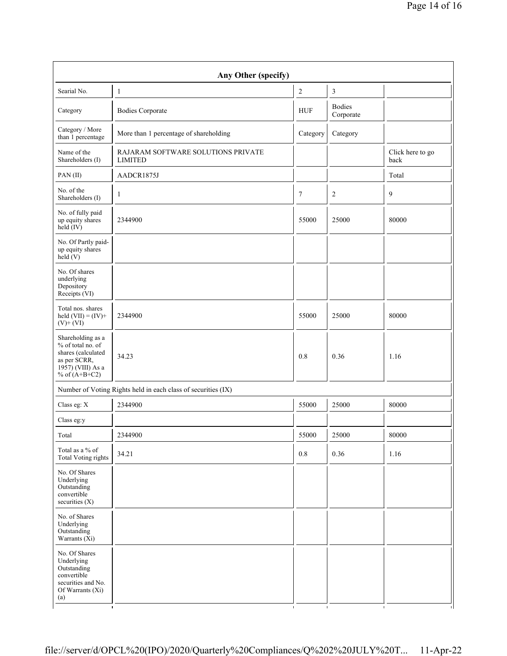| Any Other (specify)                                                                                                  |                                                               |                  |                            |                          |  |  |  |
|----------------------------------------------------------------------------------------------------------------------|---------------------------------------------------------------|------------------|----------------------------|--------------------------|--|--|--|
| Searial No.                                                                                                          | $\mathbf{1}$                                                  | $\boldsymbol{2}$ | 3                          |                          |  |  |  |
| Category                                                                                                             | <b>Bodies Corporate</b>                                       | <b>HUF</b>       | <b>Bodies</b><br>Corporate |                          |  |  |  |
| Category / More<br>than 1 percentage                                                                                 | More than 1 percentage of shareholding                        | Category         | Category                   |                          |  |  |  |
| Name of the<br>Shareholders (I)                                                                                      | RAJARAM SOFTWARE SOLUTIONS PRIVATE<br><b>LIMITED</b>          |                  |                            | Click here to go<br>back |  |  |  |
| PAN(II)                                                                                                              | AADCR1875J                                                    |                  |                            | Total                    |  |  |  |
| No. of the<br>Shareholders (I)                                                                                       | $\mathbf{1}$                                                  | $\tau$           | $\overline{2}$             | 9                        |  |  |  |
| No. of fully paid<br>up equity shares<br>$\text{held}(\text{IV})$                                                    | 2344900                                                       | 55000            | 25000                      | 80000                    |  |  |  |
| No. Of Partly paid-<br>up equity shares<br>held(V)                                                                   |                                                               |                  |                            |                          |  |  |  |
| No. Of shares<br>underlying<br>Depository<br>Receipts (VI)                                                           |                                                               |                  |                            |                          |  |  |  |
| Total nos. shares<br>held $(VII) = (IV) +$<br>$(V)$ + $(VI)$                                                         | 2344900                                                       | 55000            | 25000                      | 80000                    |  |  |  |
| Shareholding as a<br>% of total no. of<br>shares (calculated<br>as per SCRR,<br>1957) (VIII) As a<br>% of $(A+B+C2)$ | 34.23                                                         | 0.8              | 0.36                       | 1.16                     |  |  |  |
|                                                                                                                      | Number of Voting Rights held in each class of securities (IX) |                  |                            |                          |  |  |  |
| Class eg: X                                                                                                          | 2344900                                                       | 55000            | 25000                      | 80000                    |  |  |  |
| Class eg:y                                                                                                           |                                                               |                  |                            |                          |  |  |  |
| Total                                                                                                                | 2344900                                                       | 55000            | 25000                      | 80000                    |  |  |  |
| Total as a % of<br>Total Voting rights                                                                               | 34.21                                                         | $0.8\,$          | 0.36                       | 1.16                     |  |  |  |
| No. Of Shares<br>Underlying<br>Outstanding<br>convertible<br>securities (X)                                          |                                                               |                  |                            |                          |  |  |  |
| No. of Shares<br>Underlying<br>Outstanding<br>Warrants $(X_i)$                                                       |                                                               |                  |                            |                          |  |  |  |
| No. Of Shares<br>Underlying<br>Outstanding<br>convertible<br>securities and No.<br>Of Warrants (Xi)<br>(a)           |                                                               |                  |                            |                          |  |  |  |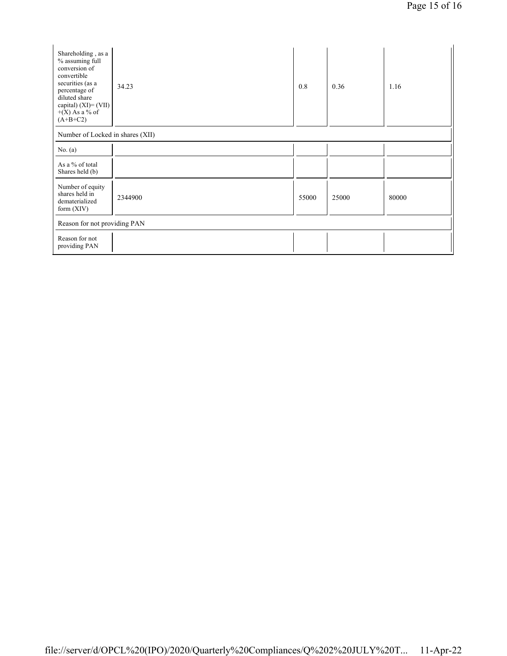| Shareholding, as a<br>% assuming full<br>conversion of<br>convertible<br>securities (as a<br>percentage of<br>diluted share<br>capital) $(XI) = (VII)$<br>$+(X)$ As a % of<br>$(A+B+C2)$ | 34.23   | 0.8   | 0.36  | 1.16  |  |  |
|------------------------------------------------------------------------------------------------------------------------------------------------------------------------------------------|---------|-------|-------|-------|--|--|
| Number of Locked in shares (XII)                                                                                                                                                         |         |       |       |       |  |  |
| No. $(a)$                                                                                                                                                                                |         |       |       |       |  |  |
| As a % of total<br>Shares held (b)                                                                                                                                                       |         |       |       |       |  |  |
| Number of equity<br>shares held in<br>dematerialized<br>form $(XIV)$                                                                                                                     | 2344900 | 55000 | 25000 | 80000 |  |  |
| Reason for not providing PAN                                                                                                                                                             |         |       |       |       |  |  |
| Reason for not<br>providing PAN                                                                                                                                                          |         |       |       |       |  |  |